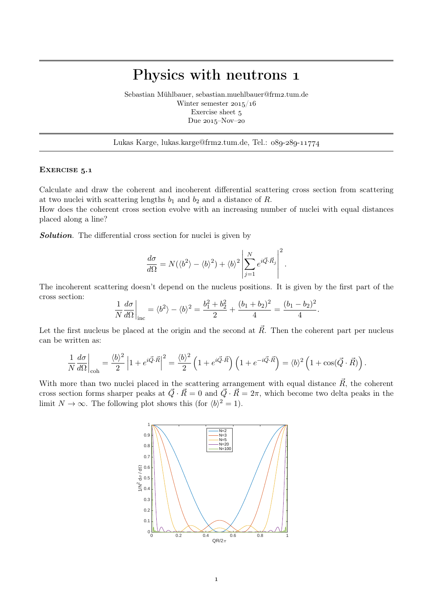# Physics with neutrons 1

Sebastian Mühlbauer, sebastian.muehlbauer@frm2.tum.de Winter semester  $2015/16$ Exercise sheet 5 Due  $2015$ -Nov-20

## Lukas Karge, lukas.karge@frm2.tum.de, Tel.:  $089-289-11774$

#### EXERCISE 5.1

Calculate and draw the coherent and incoherent differential scattering cross section from scattering at two nuclei with scattering lengths  $b_1$  and  $b_2$  and a distance of R.

How does the coherent cross section evolve with an increasing number of nuclei with equal distances placed along a line?

Solution. The differential cross section for nuclei is given by

$$
\frac{d\sigma}{d\Omega} = N(\langle b^2 \rangle - \langle b \rangle^2) + \langle b \rangle^2 \left| \sum_{j=1}^N e^{i \vec{Q} \cdot \vec{R}_j} \right|^2.
$$

The incoherent scattering doesn't depend on the nucleus positions. It is given by the first part of the cross section:

$$
\frac{1}{N}\frac{d\sigma}{d\Omega}\bigg|_{\text{inc}} = \langle b^2 \rangle - \langle b \rangle^2 = \frac{b_1^2 + b_2^2}{2} + \frac{(b_1 + b_2)^2}{4} = \frac{(b_1 - b_2)^2}{4}.
$$

Let the first nucleus be placed at the origin and the second at  $\vec{R}$ . Then the coherent part per nucleus can be written as:

$$
\frac{1}{N}\frac{d\sigma}{d\Omega}\bigg|_{\text{coh}} = \frac{\langle b\rangle^2}{2}\left|1 + e^{i\vec{Q}\cdot\vec{R}}\right|^2 = \frac{\langle b\rangle^2}{2}\left(1 + e^{i\vec{Q}\cdot\vec{R}}\right)\left(1 + e^{-i\vec{Q}\cdot\vec{R}}\right) = \langle b\rangle^2\left(1 + \cos(\vec{Q}\cdot\vec{R})\right).
$$

With more than two nuclei placed in the scattering arrangement with equal distance  $\vec{R}$ , the coherent cross section forms sharper peaks at  $\vec{Q}\cdot\vec{R}=0$  and  $\vec{Q}\cdot\vec{R}=2\pi$ , which become two delta peaks in the limit  $N \to \infty$ . The following plot shows this (for  $\langle b \rangle^2 = 1$ ).

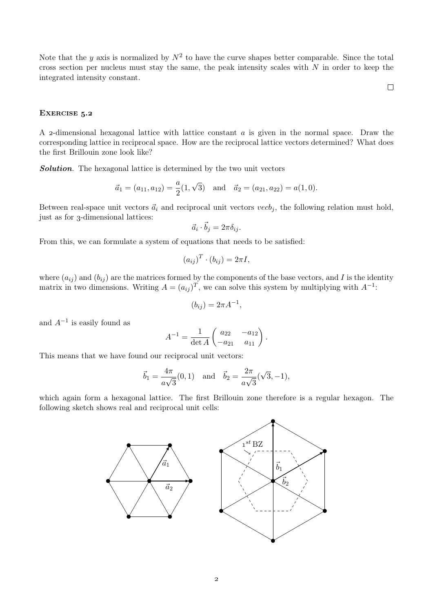Note that the y axis is normalized by  $N^2$  to have the curve shapes better comparable. Since the total cross section per nucleus must stay the same, the peak intensity scales with  $N$  in order to keep the integrated intensity constant.

 $\Box$ 

### EXERCISE 5.2

A 2-dimensional hexagonal lattice with lattice constant  $\alpha$  is given in the normal space. Draw the corresponding lattice in reciprocal space. How are the reciprocal lattice vectors determined? What does the first Brillouin zone look like?

**Solution**. The hexagonal lattice is determined by the two unit vectors

$$
\vec{a}_1 = (a_{11}, a_{12}) = \frac{a}{2}(1, \sqrt{3})
$$
 and  $\vec{a}_2 = (a_{21}, a_{22}) = a(1, 0).$ 

Between real-space unit vectors  $\vec{a}_i$  and reciprocal unit vectors vecb<sub>j</sub>, the following relation must hold, just as for 3-dimensional lattices:

$$
\vec{a}_i \cdot \vec{b}_j = 2\pi \delta_{ij}.
$$

From this, we can formulate a system of equations that needs to be satisfied:

$$
(a_{ij})^T \cdot (b_{ij}) = 2\pi I,
$$

where  $(a_{ij})$  and  $(b_{ij})$  are the matrices formed by the components of the base vectors, and I is the identity matrix in two dimensions. Writing  $A = (a_{ij})^T$ , we can solve this system by multiplying with  $A^{-1}$ :

$$
(b_{ij}) = 2\pi A^{-1},
$$

and  $A^{-1}$  is easily found as

$$
A^{-1} = \frac{1}{\det A} \begin{pmatrix} a_{22} & -a_{12} \\ -a_{21} & a_{11} \end{pmatrix}.
$$

This means that we have found our reciprocal unit vectors:

$$
\vec{b}_1 = \frac{4\pi}{a\sqrt{3}}(0, 1)
$$
 and  $\vec{b}_2 = \frac{2\pi}{a\sqrt{3}}(\sqrt{3}, -1)$ ,

which again form a hexagonal lattice. The first Brillouin zone therefore is a regular hexagon. The following sketch shows real and reciprocal unit cells: